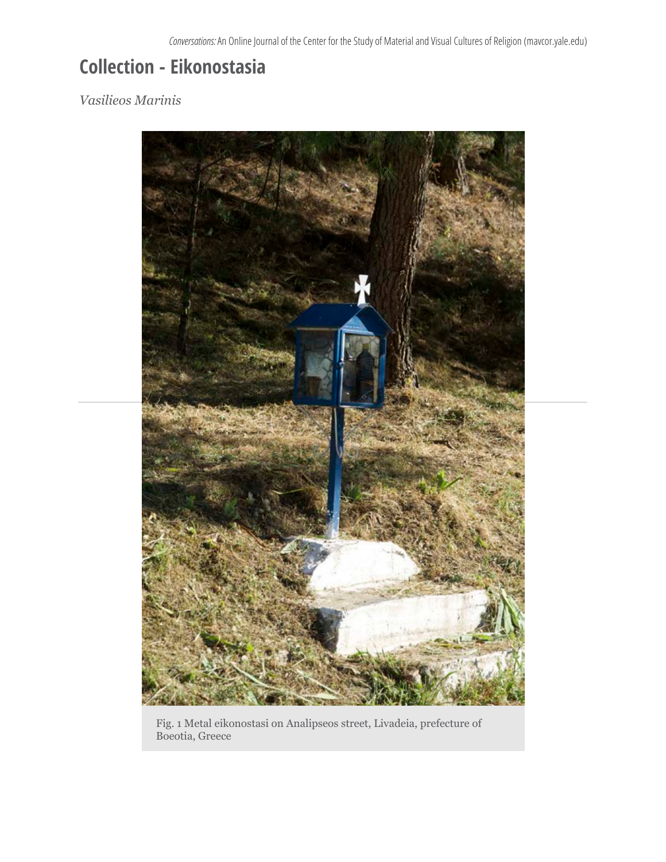## **Collection - Eikonostasia**

## *Vasilieos Marinis*



Fig. 1 Metal eikonostasi on Analipseos street, Livadeia, prefecture of Boeotia, Greece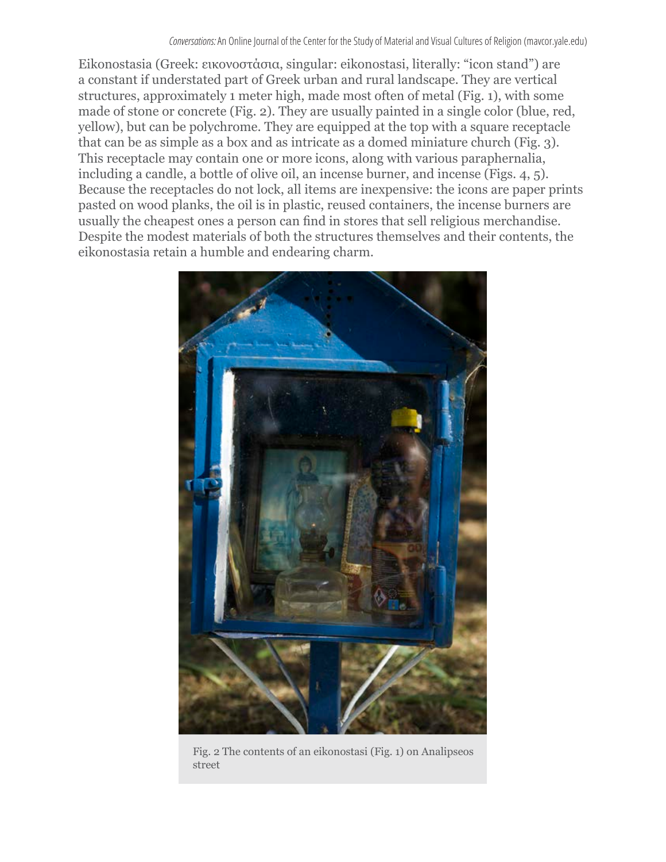Eikonostasia (Greek: εικονοστάσια, singular: eikonostasi, literally: "icon stand") are a constant if understated part of Greek urban and rural landscape. They are vertical structures, approximately 1 meter high, made most often of metal (Fig. 1), with some made of stone or concrete (Fig. 2). They are usually painted in a single color (blue, red, yellow), but can be polychrome. They are equipped at the top with a square receptacle that can be as simple as a box and as intricate as a domed miniature church (Fig. 3). This receptacle may contain one or more icons, along with various paraphernalia, including a candle, a bottle of olive oil, an incense burner, and incense (Figs. 4, 5). Because the receptacles do not lock, all items are inexpensive: the icons are paper prints pasted on wood planks, the oil is in plastic, reused containers, the incense burners are usually the cheapest ones a person can find in stores that sell religious merchandise. Despite the modest materials of both the structures themselves and their contents, the eikonostasia retain a humble and endearing charm.



Fig. 2 The contents of an eikonostasi (Fig. 1) on Analipseos street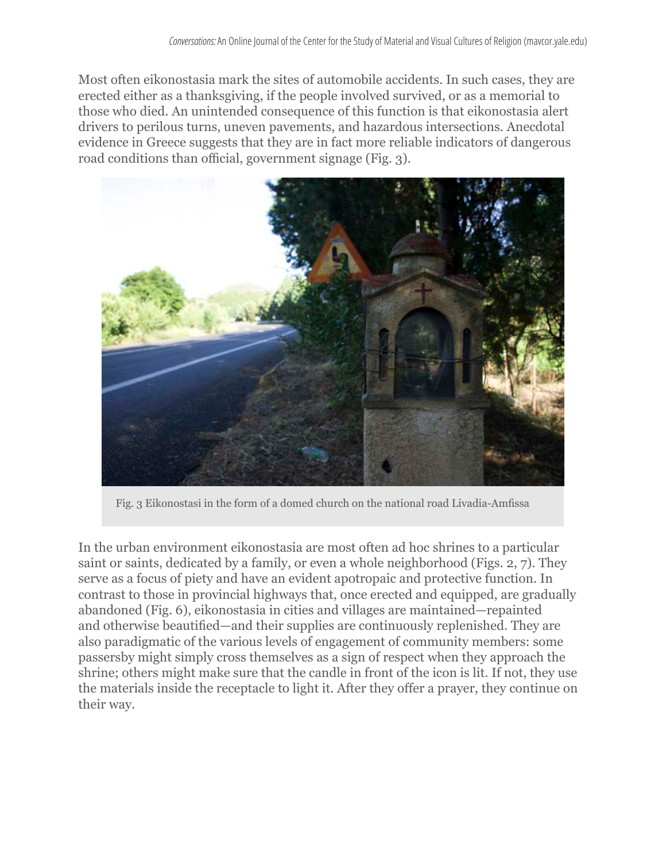Most often eikonostasia mark the sites of automobile accidents. In such cases, they are erected either as a thanksgiving, if the people involved survived, or as a memorial to those who died. An unintended consequence of this function is that eikonostasia alert drivers to perilous turns, uneven pavements, and hazardous intersections. Anecdotal evidence in Greece suggests that they are in fact more reliable indicators of dangerous road conditions than official, government signage (Fig. 3).



Fig. 3 Eikonostasi in the form of a domed church on the national road Livadia-Amfissa

In the urban environment eikonostasia are most often ad hoc shrines to a particular saint or saints, dedicated by a family, or even a whole neighborhood (Figs. 2, 7). They serve as a focus of piety and have an evident apotropaic and protective function. In contrast to those in provincial highways that, once erected and equipped, are gradually abandoned (Fig. 6), eikonostasia in cities and villages are maintained—repainted and otherwise beautified—and their supplies are continuously replenished. They are also paradigmatic of the various levels of engagement of community members: some passersby might simply cross themselves as a sign of respect when they approach the shrine; others might make sure that the candle in front of the icon is lit. If not, they use the materials inside the receptacle to light it. After they offer a prayer, they continue on their way.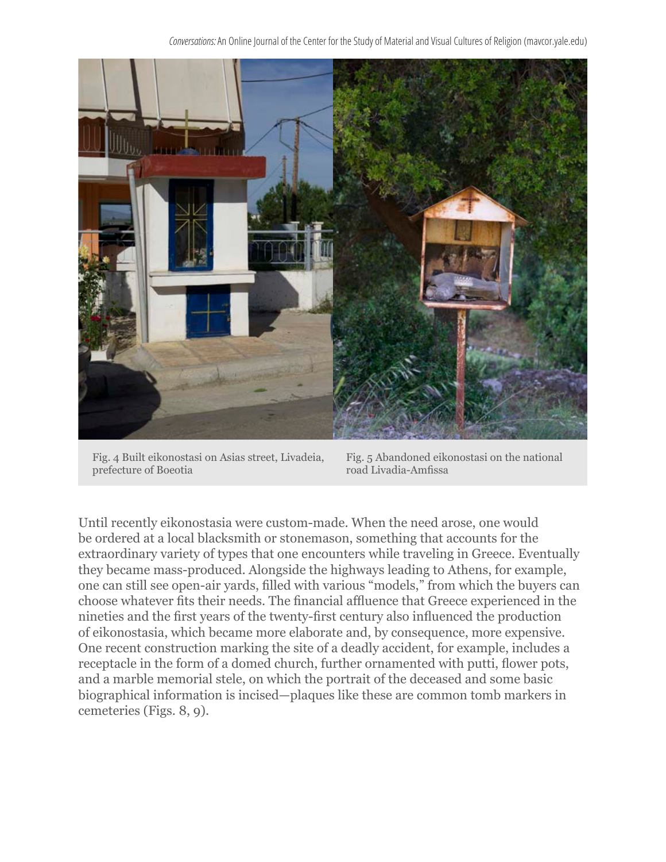*Conversations:* An Online Journal of the Center for the Study of Material and Visual Cultures of Religion (mavcor.yale.edu)



Fig. 4 Built eikonostasi on Asias street, Livadeia, prefecture of Boeotia

Fig. 5 Abandoned eikonostasi on the national road Livadia-Amfissa

Until recently eikonostasia were custom-made. When the need arose, one would be ordered at a local blacksmith or stonemason, something that accounts for the extraordinary variety of types that one encounters while traveling in Greece. Eventually they became mass-produced. Alongside the highways leading to Athens, for example, one can still see open-air yards, filled with various "models," from which the buyers can choose whatever fits their needs. The financial affluence that Greece experienced in the nineties and the first years of the twenty-first century also influenced the production of eikonostasia, which became more elaborate and, by consequence, more expensive. One recent construction marking the site of a deadly accident, for example, includes a receptacle in the form of a domed church, further ornamented with putti, flower pots, and a marble memorial stele, on which the portrait of the deceased and some basic biographical information is incised—plaques like these are common tomb markers in cemeteries (Figs. 8, 9).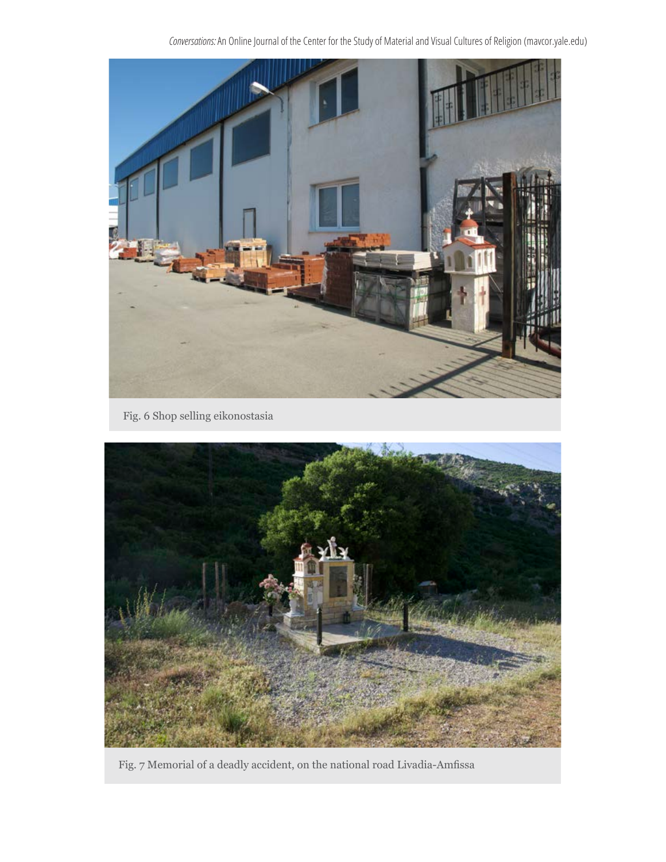*Conversations:* An Online Journal of the Center for the Study of Material and Visual Cultures of Religion (mavcor.yale.edu)



Fig. 6 Shop selling eikonostasia



Fig. 7 Memorial of a deadly accident, on the national road Livadia-Amfissa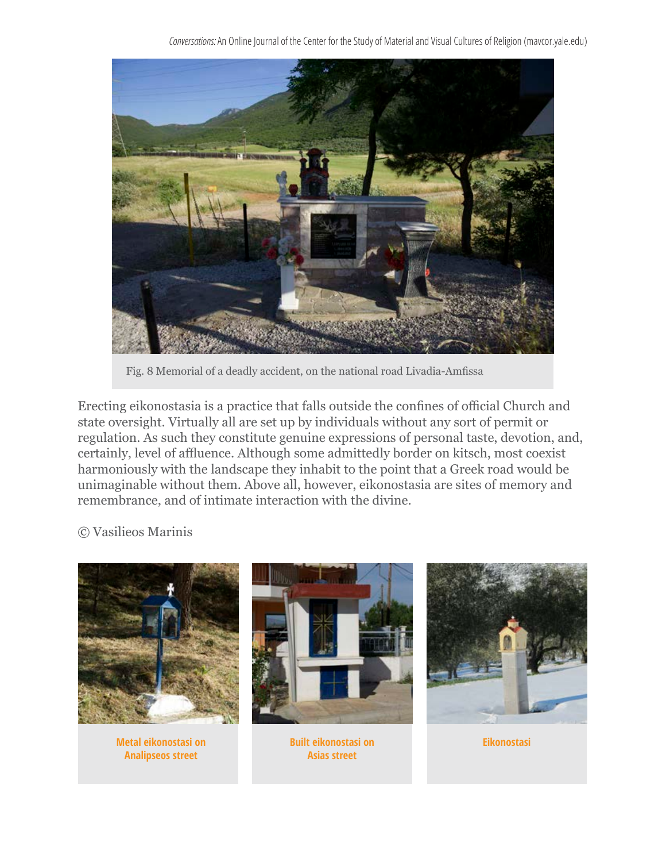*Conversations:* An Online Journal of the Center for the Study of Material and Visual Cultures of Religion (mavcor.yale.edu)



Fig. 8 Memorial of a deadly accident, on the national road Livadia-Amfissa

Erecting eikonostasia is a practice that falls outside the confines of official Church and state oversight. Virtually all are set up by individuals without any sort of permit or regulation. As such they constitute genuine expressions of personal taste, devotion, and, certainly, level of affluence. Although some admittedly border on kitsch, most coexist harmoniously with the landscape they inhabit to the point that a Greek road would be unimaginable without them. Above all, however, eikonostasia are sites of memory and remembrance, and of intimate interaction with the divine.

## © Vasilieos Marinis

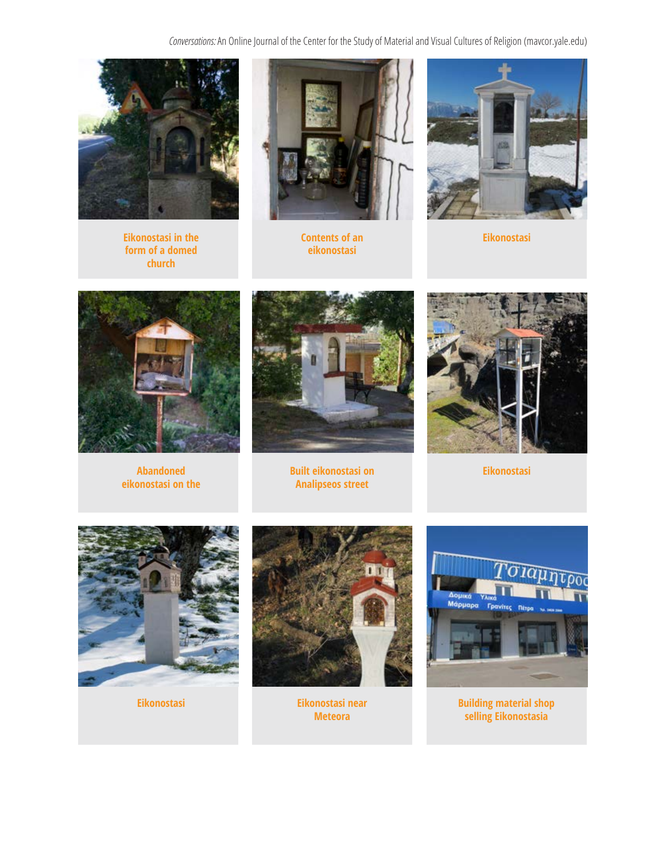*Conversations:* An Online Journal of the Center for the Study of Material and Visual Cultures of Religion (mavcor.yale.edu)



**Eikonostasi in the Eikonostasi** in the Eikonostasi **Contents of an** Eikonostasi **Eikonostasi form of a domed church**



**Contents of an eikonostasi**





**eikonostasi on the** 



**Abandoned Eikonostasi Built eikonostasi on Analipseos street**







**Eikonostasi Eikonostasi near Meteora**